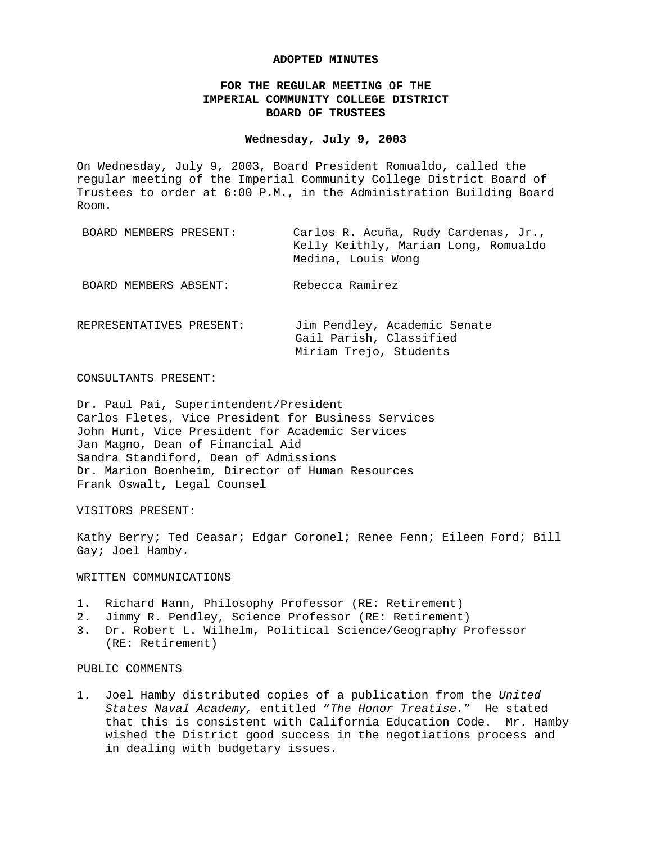#### **ADOPTED MINUTES**

# **FOR THE REGULAR MEETING OF THE IMPERIAL COMMUNITY COLLEGE DISTRICT BOARD OF TRUSTEES**

## **Wednesday, July 9, 2003**

On Wednesday, July 9, 2003, Board President Romualdo, called the regular meeting of the Imperial Community College District Board of Trustees to order at 6:00 P.M., in the Administration Building Board Room.

| BOARD MEMBERS PRESENT:   | Carlos R. Acuña, Rudy Cardenas, Jr.,<br>Kelly Keithly, Marian Long, Romualdo<br>Medina, Louis Wong |
|--------------------------|----------------------------------------------------------------------------------------------------|
| BOARD MEMBERS ABSENT:    | Rebecca Ramirez                                                                                    |
| REPRESENTATIVES PRESENT: | Jim Pendley, Academic Senate<br>Gail Parish, Classified<br>Miriam Trejo, Students                  |

## CONSULTANTS PRESENT:

Dr. Paul Pai, Superintendent/President Carlos Fletes, Vice President for Business Services John Hunt, Vice President for Academic Services Jan Magno, Dean of Financial Aid Sandra Standiford, Dean of Admissions Dr. Marion Boenheim, Director of Human Resources Frank Oswalt, Legal Counsel

#### VISITORS PRESENT:

Kathy Berry; Ted Ceasar; Edgar Coronel; Renee Fenn; Eileen Ford; Bill Gay; Joel Hamby.

#### WRITTEN COMMUNICATIONS

- 1. Richard Hann, Philosophy Professor (RE: Retirement)
- 2. Jimmy R. Pendley, Science Professor (RE: Retirement)
- 3. Dr. Robert L. Wilhelm, Political Science/Geography Professor (RE: Retirement)

#### PUBLIC COMMENTS

1. Joel Hamby distributed copies of a publication from the *United States Naval Academy,* entitled "*The Honor Treatise.*" He stated that this is consistent with California Education Code. Mr. Hamby wished the District good success in the negotiations process and in dealing with budgetary issues.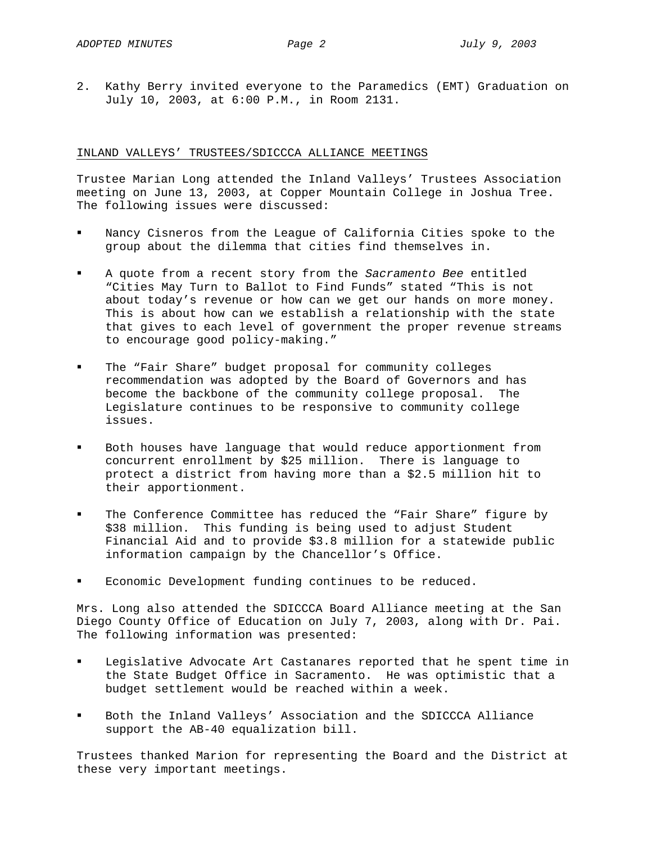2. Kathy Berry invited everyone to the Paramedics (EMT) Graduation on July 10, 2003, at 6:00 P.M., in Room 2131.

# INLAND VALLEYS' TRUSTEES/SDICCCA ALLIANCE MEETINGS

Trustee Marian Long attended the Inland Valleys' Trustees Association meeting on June 13, 2003, at Copper Mountain College in Joshua Tree. The following issues were discussed:

- Nancy Cisneros from the League of California Cities spoke to the group about the dilemma that cities find themselves in.
- A quote from a recent story from the *Sacramento Bee* entitled "Cities May Turn to Ballot to Find Funds" stated "This is not about today's revenue or how can we get our hands on more money. This is about how can we establish a relationship with the state that gives to each level of government the proper revenue streams to encourage good policy-making."
- The "Fair Share" budget proposal for community colleges recommendation was adopted by the Board of Governors and has become the backbone of the community college proposal. The Legislature continues to be responsive to community college issues.
- Both houses have language that would reduce apportionment from concurrent enrollment by \$25 million. There is language to protect a district from having more than a \$2.5 million hit to their apportionment.
- The Conference Committee has reduced the "Fair Share" figure by \$38 million. This funding is being used to adjust Student Financial Aid and to provide \$3.8 million for a statewide public information campaign by the Chancellor's Office.
- Economic Development funding continues to be reduced.

Mrs. Long also attended the SDICCCA Board Alliance meeting at the San Diego County Office of Education on July 7, 2003, along with Dr. Pai. The following information was presented:

- Legislative Advocate Art Castanares reported that he spent time in the State Budget Office in Sacramento. He was optimistic that a budget settlement would be reached within a week.
- Both the Inland Valleys' Association and the SDICCCA Alliance support the AB-40 equalization bill.

Trustees thanked Marion for representing the Board and the District at these very important meetings.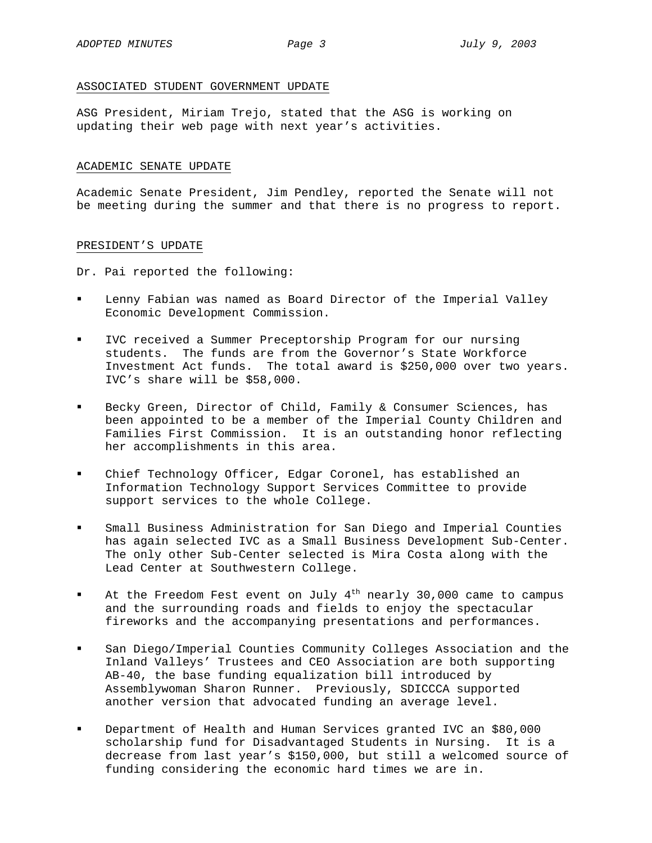## ASSOCIATED STUDENT GOVERNMENT UPDATE

ASG President, Miriam Trejo, stated that the ASG is working on updating their web page with next year's activities.

## ACADEMIC SENATE UPDATE

Academic Senate President, Jim Pendley, reported the Senate will not be meeting during the summer and that there is no progress to report.

# PRESIDENT'S UPDATE

Dr. Pai reported the following:

- Lenny Fabian was named as Board Director of the Imperial Valley Economic Development Commission.
- IVC received a Summer Preceptorship Program for our nursing students. The funds are from the Governor's State Workforce Investment Act funds. The total award is \$250,000 over two years. IVC's share will be \$58,000.
- Becky Green, Director of Child, Family & Consumer Sciences, has been appointed to be a member of the Imperial County Children and Families First Commission. It is an outstanding honor reflecting her accomplishments in this area.
- Chief Technology Officer, Edgar Coronel, has established an Information Technology Support Services Committee to provide support services to the whole College.
- Small Business Administration for San Diego and Imperial Counties has again selected IVC as a Small Business Development Sub-Center. The only other Sub-Center selected is Mira Costa along with the Lead Center at Southwestern College.
- At the Freedom Fest event on July  $4<sup>th</sup>$  nearly 30,000 came to campus and the surrounding roads and fields to enjoy the spectacular fireworks and the accompanying presentations and performances.
- San Diego/Imperial Counties Community Colleges Association and the Inland Valleys' Trustees and CEO Association are both supporting AB-40, the base funding equalization bill introduced by Assemblywoman Sharon Runner. Previously, SDICCCA supported another version that advocated funding an average level.
- Department of Health and Human Services granted IVC an \$80,000 scholarship fund for Disadvantaged Students in Nursing. It is a decrease from last year's \$150,000, but still a welcomed source of funding considering the economic hard times we are in.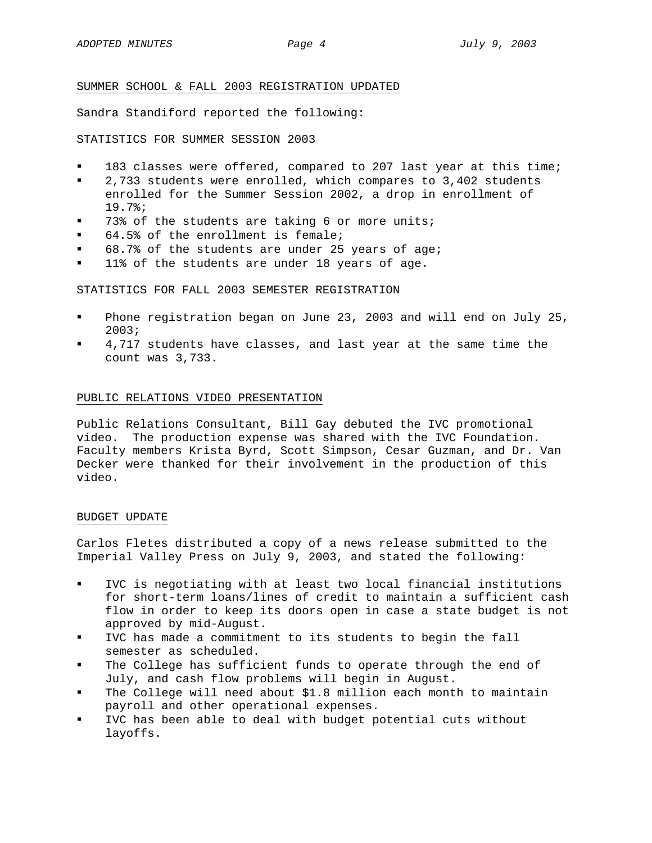## SUMMER SCHOOL & FALL 2003 REGISTRATION UPDATED

Sandra Standiford reported the following:

STATISTICS FOR SUMMER SESSION 2003

- 183 classes were offered, compared to 207 last year at this time;
- 2,733 students were enrolled, which compares to 3,402 students enrolled for the Summer Session 2002, a drop in enrollment of 19.7%;
- 73% of the students are taking 6 or more units;
- 64.5% of the enrollment is female;
- 68.7% of the students are under 25 years of age;
- **11% of the students are under 18 years of age.**

STATISTICS FOR FALL 2003 SEMESTER REGISTRATION

- Phone registration began on June 23, 2003 and will end on July 25, 2003;
- 4,717 students have classes, and last year at the same time the count was 3,733.

## PUBLIC RELATIONS VIDEO PRESENTATION

Public Relations Consultant, Bill Gay debuted the IVC promotional video. The production expense was shared with the IVC Foundation. Faculty members Krista Byrd, Scott Simpson, Cesar Guzman, and Dr. Van Decker were thanked for their involvement in the production of this video.

#### BUDGET UPDATE

Carlos Fletes distributed a copy of a news release submitted to the Imperial Valley Press on July 9, 2003, and stated the following:

- IVC is negotiating with at least two local financial institutions for short-term loans/lines of credit to maintain a sufficient cash flow in order to keep its doors open in case a state budget is not approved by mid-August.
- IVC has made a commitment to its students to begin the fall semester as scheduled.
- The College has sufficient funds to operate through the end of July, and cash flow problems will begin in August.
- The College will need about \$1.8 million each month to maintain payroll and other operational expenses.
- IVC has been able to deal with budget potential cuts without layoffs.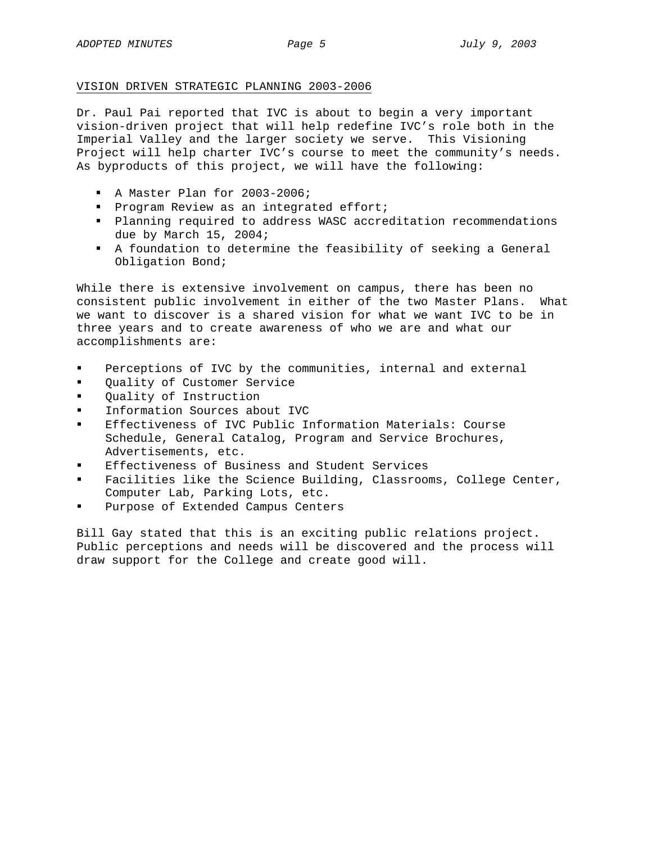# VISION DRIVEN STRATEGIC PLANNING 2003-2006

Dr. Paul Pai reported that IVC is about to begin a very important vision-driven project that will help redefine IVC's role both in the Imperial Valley and the larger society we serve. This Visioning Project will help charter IVC's course to meet the community's needs. As byproducts of this project, we will have the following:

- A Master Plan for 2003-2006;
- **Program Review as an integrated effort;**
- Planning required to address WASC accreditation recommendations due by March 15, 2004;
- A foundation to determine the feasibility of seeking a General Obligation Bond;

While there is extensive involvement on campus, there has been no consistent public involvement in either of the two Master Plans. What we want to discover is a shared vision for what we want IVC to be in three years and to create awareness of who we are and what our accomplishments are:

- Perceptions of IVC by the communities, internal and external
- Quality of Customer Service
- Quality of Instruction
- Information Sources about IVC
- Effectiveness of IVC Public Information Materials: Course Schedule, General Catalog, Program and Service Brochures, Advertisements, etc.
- Effectiveness of Business and Student Services
- Facilities like the Science Building, Classrooms, College Center, Computer Lab, Parking Lots, etc.
- Purpose of Extended Campus Centers

Bill Gay stated that this is an exciting public relations project. Public perceptions and needs will be discovered and the process will draw support for the College and create good will.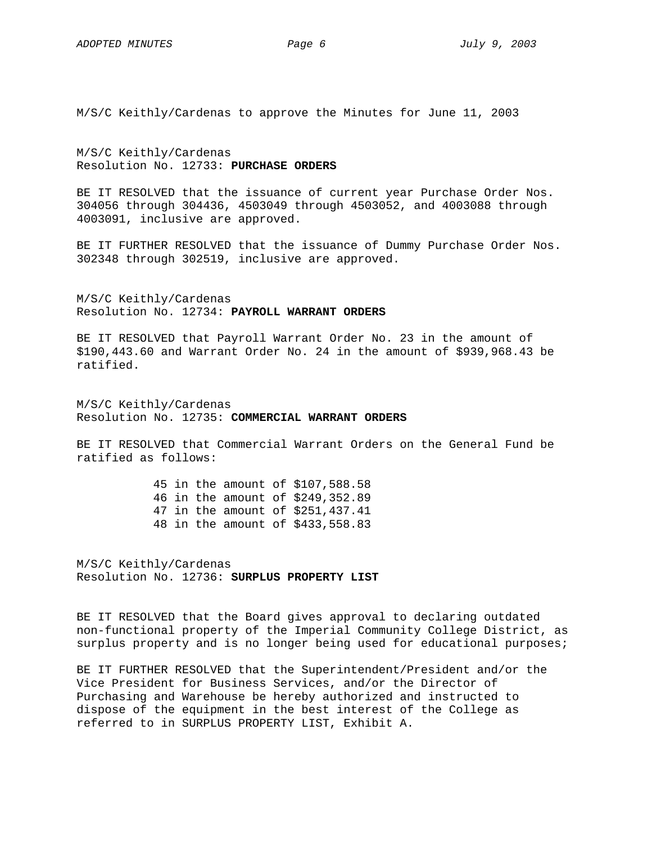M/S/C Keithly/Cardenas to approve the Minutes for June 11, 2003

M/S/C Keithly/Cardenas Resolution No. 12733: **PURCHASE ORDERS**

BE IT RESOLVED that the issuance of current year Purchase Order Nos. 304056 through 304436, 4503049 through 4503052, and 4003088 through 4003091, inclusive are approved.

BE IT FURTHER RESOLVED that the issuance of Dummy Purchase Order Nos. 302348 through 302519, inclusive are approved.

M/S/C Keithly/Cardenas Resolution No. 12734: **PAYROLL WARRANT ORDERS**

BE IT RESOLVED that Payroll Warrant Order No. 23 in the amount of \$190,443.60 and Warrant Order No. 24 in the amount of \$939,968.43 be ratified.

M/S/C Keithly/Cardenas Resolution No. 12735: **COMMERCIAL WARRANT ORDERS**

BE IT RESOLVED that Commercial Warrant Orders on the General Fund be ratified as follows:

> 45 in the amount of \$107,588.58 46 in the amount of \$249,352.89 47 in the amount of \$251,437.41 48 in the amount of \$433,558.83

M/S/C Keithly/Cardenas Resolution No. 12736: **SURPLUS PROPERTY LIST**

BE IT RESOLVED that the Board gives approval to declaring outdated non-functional property of the Imperial Community College District, as surplus property and is no longer being used for educational purposes;

BE IT FURTHER RESOLVED that the Superintendent/President and/or the Vice President for Business Services, and/or the Director of Purchasing and Warehouse be hereby authorized and instructed to dispose of the equipment in the best interest of the College as referred to in SURPLUS PROPERTY LIST, Exhibit A.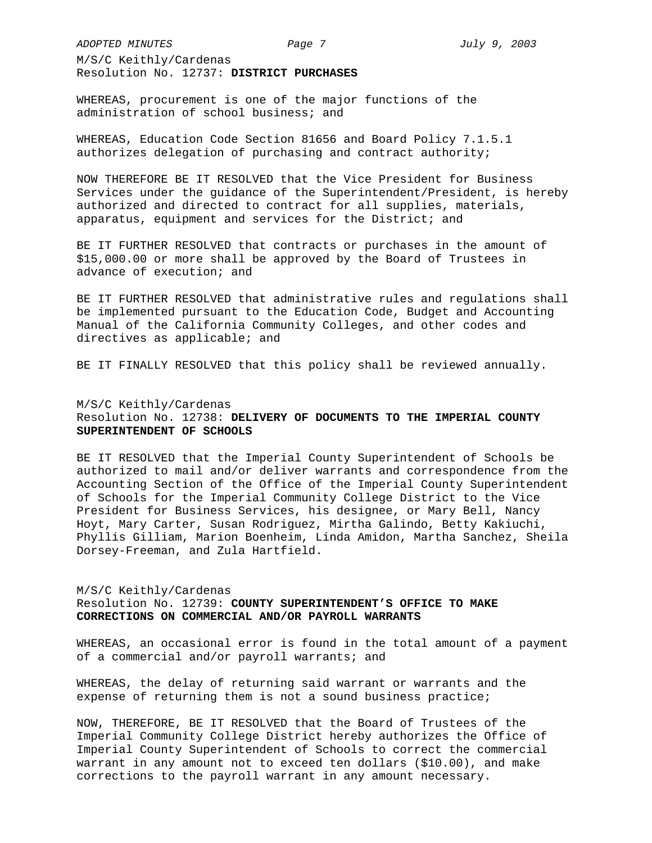*ADOPTED MINUTES Page 7 July 9, 2003* 

M/S/C Keithly/Cardenas Resolution No. 12737: **DISTRICT PURCHASES** 

WHEREAS, procurement is one of the major functions of the administration of school business; and

WHEREAS, Education Code Section 81656 and Board Policy 7.1.5.1 authorizes delegation of purchasing and contract authority;

NOW THEREFORE BE IT RESOLVED that the Vice President for Business Services under the guidance of the Superintendent/President, is hereby authorized and directed to contract for all supplies, materials, apparatus, equipment and services for the District; and

BE IT FURTHER RESOLVED that contracts or purchases in the amount of \$15,000.00 or more shall be approved by the Board of Trustees in advance of execution; and

BE IT FURTHER RESOLVED that administrative rules and regulations shall be implemented pursuant to the Education Code, Budget and Accounting Manual of the California Community Colleges, and other codes and directives as applicable; and

BE IT FINALLY RESOLVED that this policy shall be reviewed annually.

# M/S/C Keithly/Cardenas Resolution No. 12738: **DELIVERY OF DOCUMENTS TO THE IMPERIAL COUNTY SUPERINTENDENT OF SCHOOLS**

BE IT RESOLVED that the Imperial County Superintendent of Schools be authorized to mail and/or deliver warrants and correspondence from the Accounting Section of the Office of the Imperial County Superintendent of Schools for the Imperial Community College District to the Vice President for Business Services, his designee, or Mary Bell, Nancy Hoyt, Mary Carter, Susan Rodriguez, Mirtha Galindo, Betty Kakiuchi, Phyllis Gilliam, Marion Boenheim, Linda Amidon, Martha Sanchez, Sheila Dorsey-Freeman, and Zula Hartfield.

## M/S/C Keithly/Cardenas

Resolution No. 12739: **COUNTY SUPERINTENDENT'S OFFICE TO MAKE CORRECTIONS ON COMMERCIAL AND/OR PAYROLL WARRANTS**

WHEREAS, an occasional error is found in the total amount of a payment of a commercial and/or payroll warrants; and

WHEREAS, the delay of returning said warrant or warrants and the expense of returning them is not a sound business practice;

NOW, THEREFORE, BE IT RESOLVED that the Board of Trustees of the Imperial Community College District hereby authorizes the Office of Imperial County Superintendent of Schools to correct the commercial warrant in any amount not to exceed ten dollars (\$10.00), and make corrections to the payroll warrant in any amount necessary.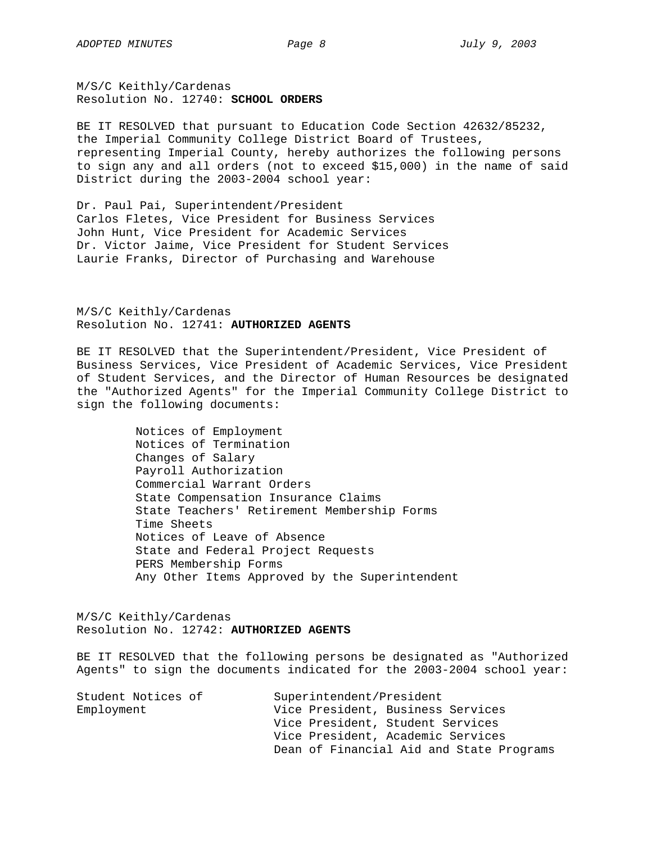M/S/C Keithly/Cardenas Resolution No. 12740: **SCHOOL ORDERS**

BE IT RESOLVED that pursuant to Education Code Section 42632/85232, the Imperial Community College District Board of Trustees, representing Imperial County, hereby authorizes the following persons to sign any and all orders (not to exceed \$15,000) in the name of said District during the 2003-2004 school year:

Dr. Paul Pai, Superintendent/President Carlos Fletes, Vice President for Business Services John Hunt, Vice President for Academic Services Dr. Victor Jaime, Vice President for Student Services Laurie Franks, Director of Purchasing and Warehouse

M/S/C Keithly/Cardenas Resolution No. 12741: **AUTHORIZED AGENTS**

BE IT RESOLVED that the Superintendent/President, Vice President of Business Services, Vice President of Academic Services, Vice President of Student Services, and the Director of Human Resources be designated the "Authorized Agents" for the Imperial Community College District to sign the following documents:

> Notices of Employment Notices of Termination Changes of Salary Payroll Authorization Commercial Warrant Orders State Compensation Insurance Claims State Teachers' Retirement Membership Forms Time Sheets Notices of Leave of Absence State and Federal Project Requests PERS Membership Forms Any Other Items Approved by the Superintendent

M/S/C Keithly/Cardenas Resolution No. 12742: **AUTHORIZED AGENTS**

BE IT RESOLVED that the following persons be designated as "Authorized Agents" to sign the documents indicated for the 2003-2004 school year:

| Student Notices of | Superintendent/President                 |  |  |  |
|--------------------|------------------------------------------|--|--|--|
| Employment         | Vice President, Business Services        |  |  |  |
|                    | Vice President, Student Services         |  |  |  |
|                    | Vice President, Academic Services        |  |  |  |
|                    | Dean of Financial Aid and State Programs |  |  |  |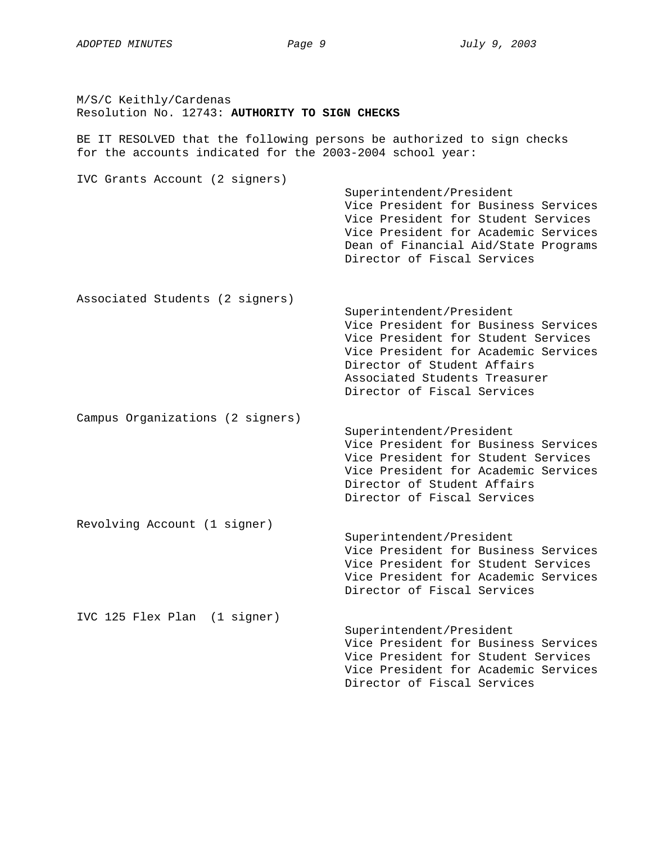M/S/C Keithly/Cardenas Resolution No. 12743: **AUTHORITY TO SIGN CHECKS** 

BE IT RESOLVED that the following persons be authorized to sign checks for the accounts indicated for the 2003-2004 school year:

IVC Grants Account (2 signers) Superintendent/President Vice President for Business Services Vice President for Student Services Vice President for Academic Services Dean of Financial Aid/State Programs Director of Fiscal Services Associated Students (2 signers) Superintendent/President Vice President for Business Services Vice President for Student Services Vice President for Academic Services Director of Student Affairs Associated Students Treasurer Director of Fiscal Services Campus Organizations (2 signers) Superintendent/President Vice President for Business Services Vice President for Student Services Vice President for Academic Services Director of Student Affairs Director of Fiscal Services Revolving Account (1 signer) Superintendent/President Vice President for Business Services Vice President for Student Services Vice President for Academic Services Director of Fiscal Services IVC 125 Flex Plan (1 signer) Superintendent/President Vice President for Business Services Vice President for Student Services Vice President for Academic Services Director of Fiscal Services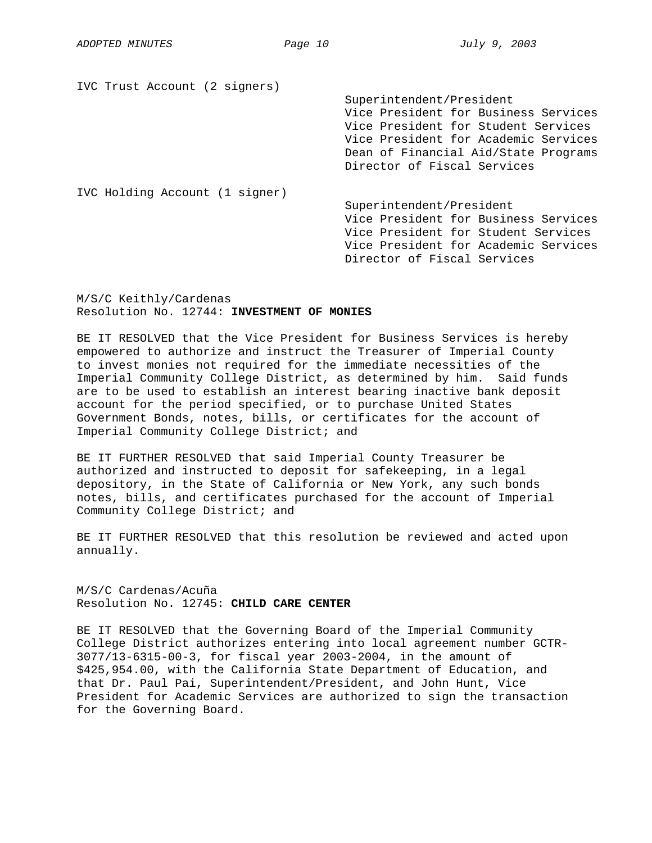IVC Trust Account (2 signers)

Superintendent/President Vice President for Business Services Vice President for Student Services Vice President for Academic Services Dean of Financial Aid/State Programs Director of Fiscal Services

IVC Holding Account (1 signer)

Superintendent/President Vice President for Business Services Vice President for Student Services Vice President for Academic Services Director of Fiscal Services

M/S/C Keithly/Cardenas Resolution No. 12744: **INVESTMENT OF MONIES** 

BE IT RESOLVED that the Vice President for Business Services is hereby empowered to authorize and instruct the Treasurer of Imperial County to invest monies not required for the immediate necessities of the Imperial Community College District, as determined by him. Said funds are to be used to establish an interest bearing inactive bank deposit account for the period specified, or to purchase United States Government Bonds, notes, bills, or certificates for the account of Imperial Community College District; and

BE IT FURTHER RESOLVED that said Imperial County Treasurer be authorized and instructed to deposit for safekeeping, in a legal depository, in the State of California or New York, any such bonds notes, bills, and certificates purchased for the account of Imperial Community College District; and

BE IT FURTHER RESOLVED that this resolution be reviewed and acted upon annually.

M/S/C Cardenas/Acuña Resolution No. 12745: **CHILD CARE CENTER**

BE IT RESOLVED that the Governing Board of the Imperial Community College District authorizes entering into local agreement number GCTR-3077/13-6315-00-3, for fiscal year 2003-2004, in the amount of \$425,954.00, with the California State Department of Education, and that Dr. Paul Pai, Superintendent/President, and John Hunt, Vice President for Academic Services are authorized to sign the transaction for the Governing Board.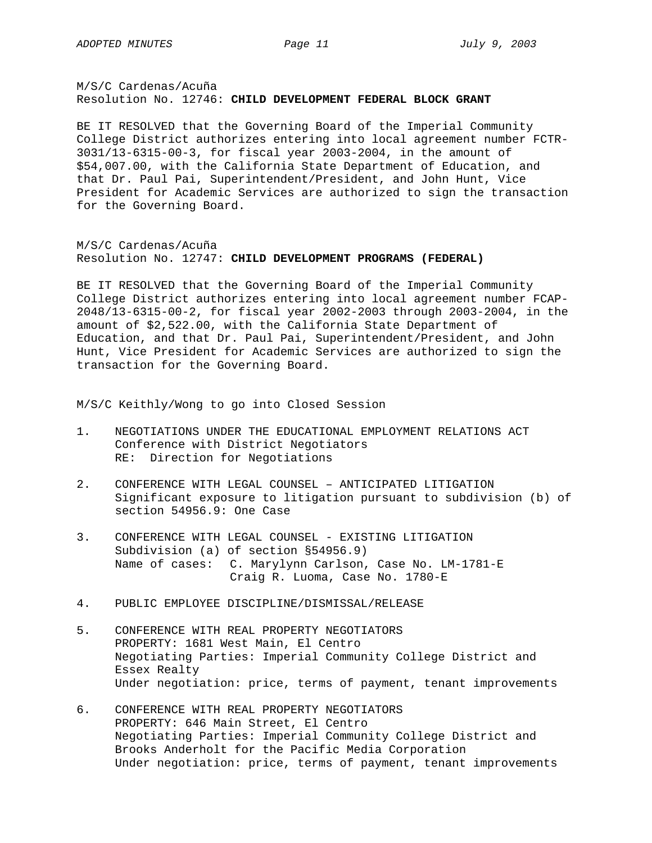M/S/C Cardenas/Acuña Resolution No. 12746: **CHILD DEVELOPMENT FEDERAL BLOCK GRANT**

BE IT RESOLVED that the Governing Board of the Imperial Community College District authorizes entering into local agreement number FCTR-3031/13-6315-00-3, for fiscal year 2003-2004, in the amount of \$54,007.00, with the California State Department of Education, and that Dr. Paul Pai, Superintendent/President, and John Hunt, Vice President for Academic Services are authorized to sign the transaction for the Governing Board.

M/S/C Cardenas/Acuña Resolution No. 12747: **CHILD DEVELOPMENT PROGRAMS (FEDERAL)**

BE IT RESOLVED that the Governing Board of the Imperial Community College District authorizes entering into local agreement number FCAP-2048/13-6315-00-2, for fiscal year 2002-2003 through 2003-2004, in the amount of \$2,522.00, with the California State Department of Education, and that Dr. Paul Pai, Superintendent/President, and John Hunt, Vice President for Academic Services are authorized to sign the transaction for the Governing Board.

M/S/C Keithly/Wong to go into Closed Session

- 1. NEGOTIATIONS UNDER THE EDUCATIONAL EMPLOYMENT RELATIONS ACT Conference with District Negotiators RE: Direction for Negotiations
- 2. CONFERENCE WITH LEGAL COUNSEL ANTICIPATED LITIGATION Significant exposure to litigation pursuant to subdivision (b) of section 54956.9: One Case
- 3. CONFERENCE WITH LEGAL COUNSEL EXISTING LITIGATION Subdivision (a) of section §54956.9) Name of cases: C. Marylynn Carlson, Case No. LM-1781-E Craig R. Luoma, Case No. 1780-E
- 4. PUBLIC EMPLOYEE DISCIPLINE/DISMISSAL/RELEASE
- 5. CONFERENCE WITH REAL PROPERTY NEGOTIATORS PROPERTY: 1681 West Main, El Centro Negotiating Parties: Imperial Community College District and Essex Realty Under negotiation: price, terms of payment, tenant improvements
- 6. CONFERENCE WITH REAL PROPERTY NEGOTIATORS PROPERTY: 646 Main Street, El Centro Negotiating Parties: Imperial Community College District and Brooks Anderholt for the Pacific Media Corporation Under negotiation: price, terms of payment, tenant improvements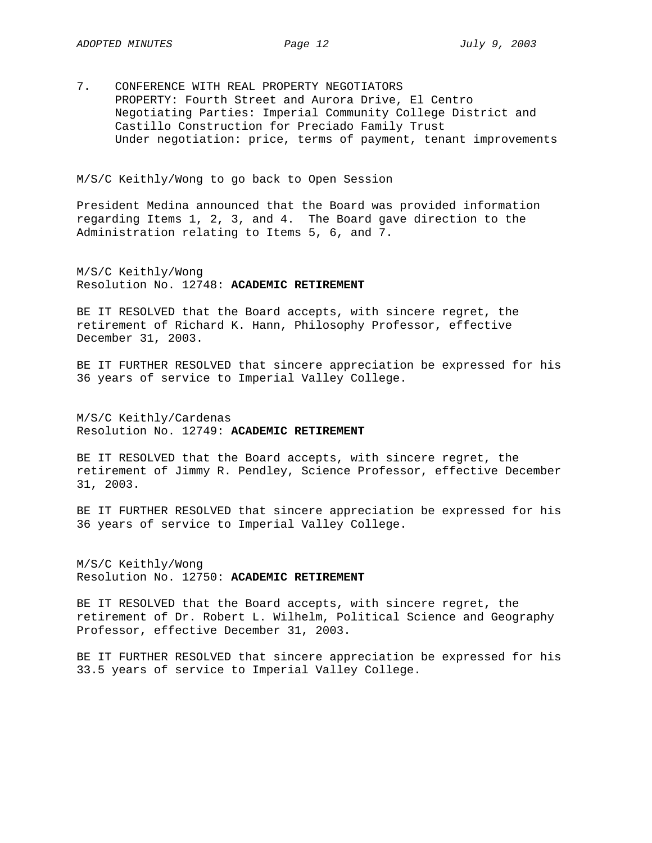7. CONFERENCE WITH REAL PROPERTY NEGOTIATORS PROPERTY: Fourth Street and Aurora Drive, El Centro Negotiating Parties: Imperial Community College District and Castillo Construction for Preciado Family Trust Under negotiation: price, terms of payment, tenant improvements

M/S/C Keithly/Wong to go back to Open Session

President Medina announced that the Board was provided information regarding Items 1, 2, 3, and 4. The Board gave direction to the Administration relating to Items 5, 6, and 7.

M/S/C Keithly/Wong Resolution No. 12748: **ACADEMIC RETIREMENT** 

BE IT RESOLVED that the Board accepts, with sincere regret, the retirement of Richard K. Hann, Philosophy Professor, effective December 31, 2003.

BE IT FURTHER RESOLVED that sincere appreciation be expressed for his 36 years of service to Imperial Valley College.

M/S/C Keithly/Cardenas Resolution No. 12749: **ACADEMIC RETIREMENT** 

BE IT RESOLVED that the Board accepts, with sincere regret, the retirement of Jimmy R. Pendley, Science Professor, effective December 31, 2003.

BE IT FURTHER RESOLVED that sincere appreciation be expressed for his 36 years of service to Imperial Valley College.

M/S/C Keithly/Wong Resolution No. 12750: **ACADEMIC RETIREMENT** 

BE IT RESOLVED that the Board accepts, with sincere regret, the retirement of Dr. Robert L. Wilhelm, Political Science and Geography Professor, effective December 31, 2003.

BE IT FURTHER RESOLVED that sincere appreciation be expressed for his 33.5 years of service to Imperial Valley College.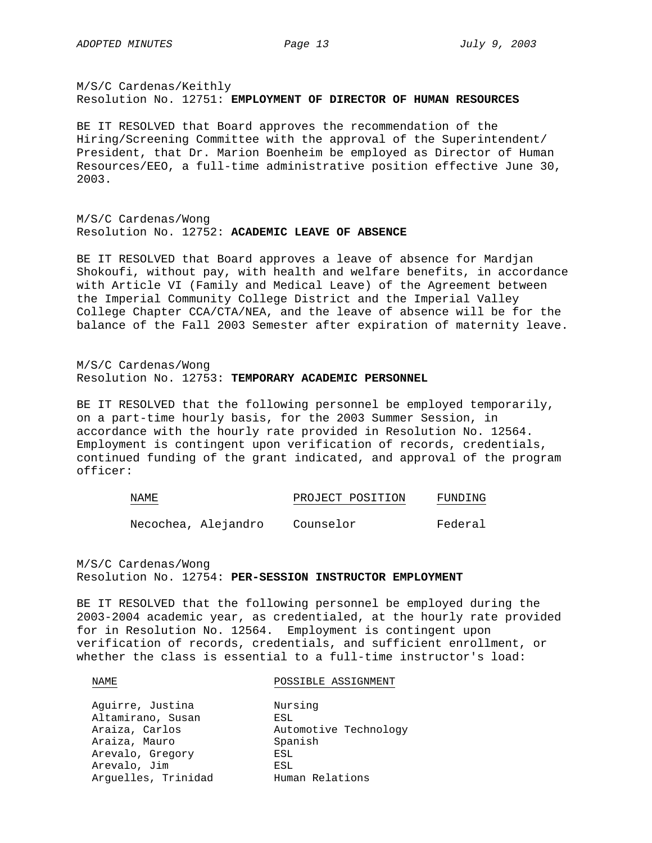M/S/C Cardenas/Keithly Resolution No. 12751: **EMPLOYMENT OF DIRECTOR OF HUMAN RESOURCES** 

BE IT RESOLVED that Board approves the recommendation of the Hiring/Screening Committee with the approval of the Superintendent/ President, that Dr. Marion Boenheim be employed as Director of Human Resources/EEO, a full-time administrative position effective June 30, 2003.

M/S/C Cardenas/Wong Resolution No. 12752: **ACADEMIC LEAVE OF ABSENCE** 

BE IT RESOLVED that Board approves a leave of absence for Mardjan Shokoufi, without pay, with health and welfare benefits, in accordance with Article VI (Family and Medical Leave) of the Agreement between the Imperial Community College District and the Imperial Valley College Chapter CCA/CTA/NEA, and the leave of absence will be for the balance of the Fall 2003 Semester after expiration of maternity leave.

M/S/C Cardenas/Wong Resolution No. 12753: **TEMPORARY ACADEMIC PERSONNEL**

BE IT RESOLVED that the following personnel be employed temporarily, on a part-time hourly basis, for the 2003 Summer Session, in accordance with the hourly rate provided in Resolution No. 12564. Employment is contingent upon verification of records, credentials, continued funding of the grant indicated, and approval of the program officer:

| NAME | PROJECT POSITION | FUNDING |
|------|------------------|---------|
|      |                  |         |

Necochea, Alejandro Counselor Federal

M/S/C Cardenas/Wong Resolution No. 12754: **PER-SESSION INSTRUCTOR EMPLOYMENT** 

BE IT RESOLVED that the following personnel be employed during the 2003-2004 academic year, as credentialed, at the hourly rate provided for in Resolution No. 12564. Employment is contingent upon verification of records, credentials, and sufficient enrollment, or whether the class is essential to a full-time instructor's load:

NAME POSSIBLE ASSIGNMENT

| Aguirre, Justina    | Nursing               |
|---------------------|-----------------------|
| Altamirano, Susan   | ESL                   |
| Araiza, Carlos      | Automotive Technology |
| Araiza, Mauro       | Spanish               |
| Arevalo, Gregory    | ESL                   |
| Arevalo, Jim        | ESL                   |
| Arguelles, Trinidad | Human Relations       |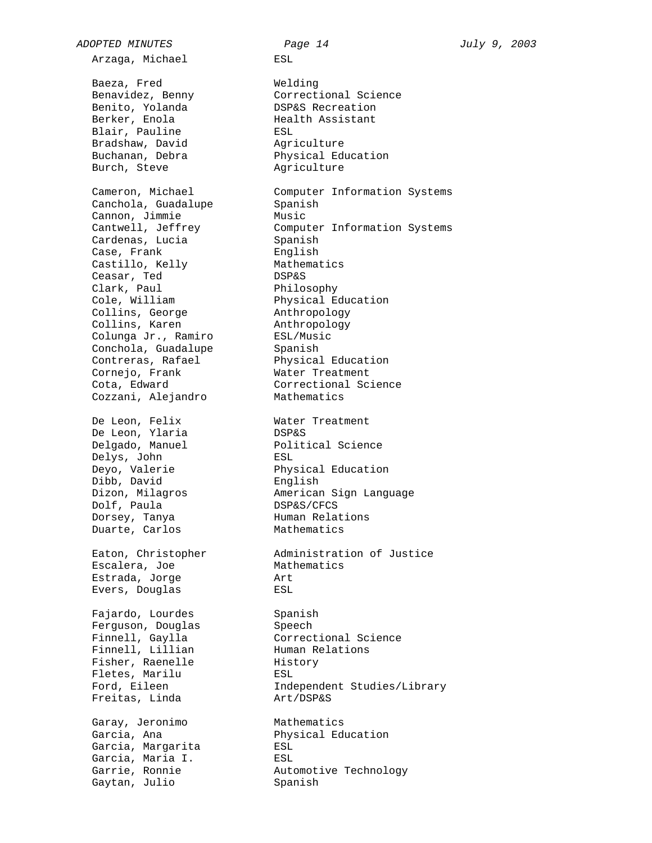Arzaga, Michael ESL Baeza, Fred Welding Benito, Yolanda DSP&S Recreation Berker, Enola Health Assistant Blair, Pauline and ESL Bradshaw, David Magriculture Burch, Steve **Agriculture** Canchola, Guadalupe Spanish Cannon, Jimmie Music Cardenas, Lucia Spanish Case, Frank English Castillo, Kelly Mathematics Ceasar, Ted DSP&S Clark, Paul Philosophy Collins, George **Anthropology** Collins, Karen anthropology Colunga Jr., Ramiro ESL/Music Conchola, Guadalupe Spanish Cornejo, Frank Water Treatment Cozzani, Alejandro Mathematics De Leon, Felix Mater Treatment<br>
De Leon, Ylaria Mater DSP&S<br>
Delgado, Manuel Political Science De Leon, Ylaria<br>Delgado, Manuel Delgado, Manuel Political Science Delys, John ESL Dibb, David English Dolf, Paula DSP&S/CFCS Dorsey, Tanya Human Relations Duarte, Carlos Mathematics Escalera, Joe Mathematics Estrada, Jorge Art Evers, Douglas FSL Fajardo, Lourdes Spanish Ferguson, Douglas Speech Finnell, Lillian Human Relations Fisher, Raenelle History Fletes, Marilu ESL Freitas, Linda Art/DSP&S Garay, Jeronimo Mathematics Garcia, Margarita ESL Garcia, Maria I. ESL Garcia, Maria I.<br>Garrie, Ronnie Automotive Technology<br>Gaytan, Julio Spanish Gaytan, Julio

*ADOPTED MINUTES Page 14 July 9, 2003*  Benavidez, Benny Correctional Science Buchanan, Debra Physical Education Cameron, Michael Computer Information Systems Cantwell, Jeffrey Computer Information Systems Cole, William Physical Education Contreras, Rafael Physical Education Cota, Edward Correctional Science Deyo, Valerie **Physical Education** Dizon, Milagros American Sign Language Eaton, Christopher Administration of Justice Finnell, Gaylla Correctional Science Ford, Eileen Independent Studies/Library Garcia, Ana Physical Education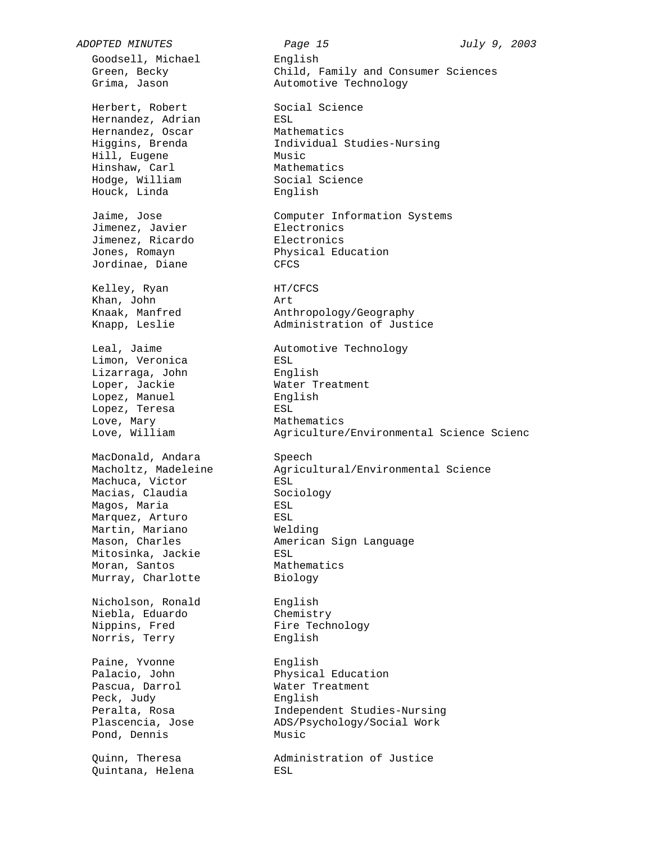Goodsell, Michael and English Herbert, Robert Social Science Hernandez, Adrian ESL Hernandez, Oscar Mathematics Hill, Eugene<br>Hinshaw, Carl Hodge, William Houck, Linda English Jimenez, Javier **Electronics** Jimenez, Ricardo Electronics Jones, Romayn<br>Jordinae, Diane CFCS Kelley, Ryan HT/CFCS Khan, John Art Limon, Veronica and ESL Lizarraga, John Binglish Loper, Jackie Mater Treatment Lopez, Manuel english Lopez, Teresa Love, Mary **Mathematics** MacDonald, Andara Macholtz, Madeleine<br>
Machuca, Victor<br>
Macias, Claudia<br>
Magos, Maria<br>
ESL<br>
ESL<br>
ESL Machucu, .\_<br>Macias, Claudia Magos, Maria **ESL** Marquez, Arturo ESL Martin, Mariano Welding Mitosinka, Jackie ESL Moran, Santos **Mathematics** Murray, Charlotte Biology Nicholson, Ronald English Niebla, Eduardo Chemistry Nippins, Fred Fire Technology Norris, Terry **English** Paine, Yvonne English Pascua, Darrol **Water** Treatment Peck, Judy<br>Peralta, Rosa Pond, Dennis **Music** Quinn, Theresa<br>Quintana, Helena

*ADOPTED MINUTES Page 15 July 9, 2003*  Green, Becky Child, Family and Consumer Sciences Grima, Jason **Automotive Technology** Hernandez, Oscar Mathematics<br>
Higgins, Brenda Individual Studies-Nursing Music<br>Music<br>Mathematics<br>Social Science<br>Fnglish Jaime, Jose Computer Information Systems Jones, Romayn Physical Education Knaak, Manfred **Anthropology/Geography** Knapp, Leslie Administration of Justice Leal, Jaime **Automotive Technology** Love, William Agriculture/Environmental Science Scienc Speech<br>Agricultural/Environmental Science Mason, Charles American Sign Language Palacio, John Physical Education Peralta, Rosa Independent Studies-Nursing Plascencia, Jose ADS/Psychology/Social Work Administration of Justice<br>ESL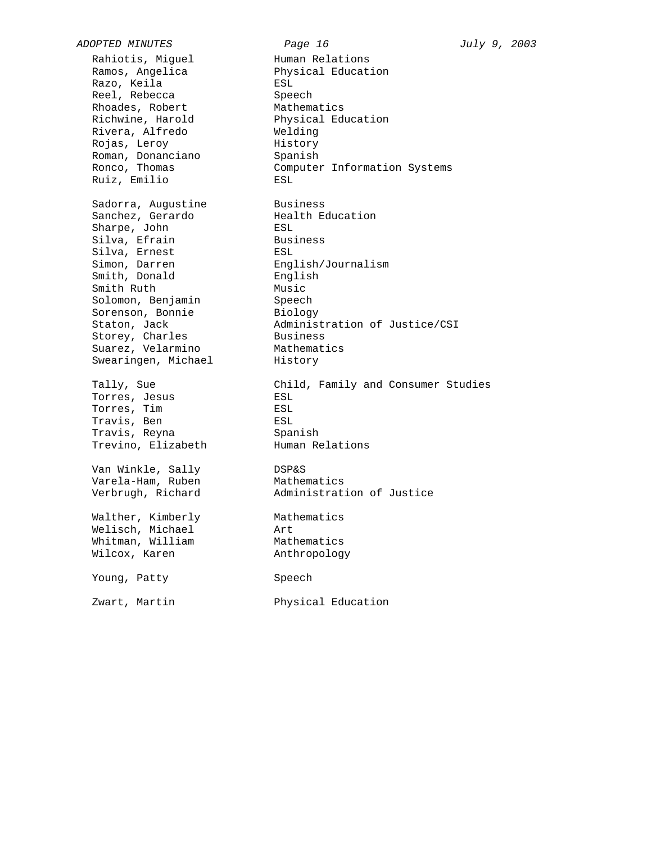*ADOPTED MINUTES Page 16 July 9, 2003*  Rahiotis, Miguel Human Relations Ramos, Angelica Physical Education Razo, Keila **ESL** Reel, Rebecca Speech Rhoades, Robert Mathematics Richwine, Harold Physical Education Rivera, Alfredo Welding Rojas, Leroy History Roman, Donanciano Spanish Ruiz, Emilio ESL Sadorra, Augustine Business Sanchez, Gerardo Mealth Education Sharpe, John ESL Silva, Efrain and Business Silva, Ernest ESL Simon, Darren English/Journalism Smith, Donald English Smith Ruth **Music** Solomon, Benjamin Speech Sorenson, Bonnie and Biology Storey, Charles **Business** Suarez, Velarmino Mathematics Swearingen, Michael History Torres, Jesus **ESL** Torres, Tim ESL Travis, Ben ESL Travis, Reyna Spanish Trevino, Elizabeth Human Relations Van Winkle, Sally DSP&S Varela-Ham, Ruben Mathematics Verbrugh, Richard Administration of Justice Walther, Kimberly Mathematics Welisch, Michael Art Whitman, William Mathematics Wilcox, Karen **Anthropology** Young, Patty Speech Zwart, Martin Physical Education

Ronco, Thomas Computer Information Systems Staton, Jack and Moministration of Justice/CSI Tally, Sue Child, Family and Consumer Studies